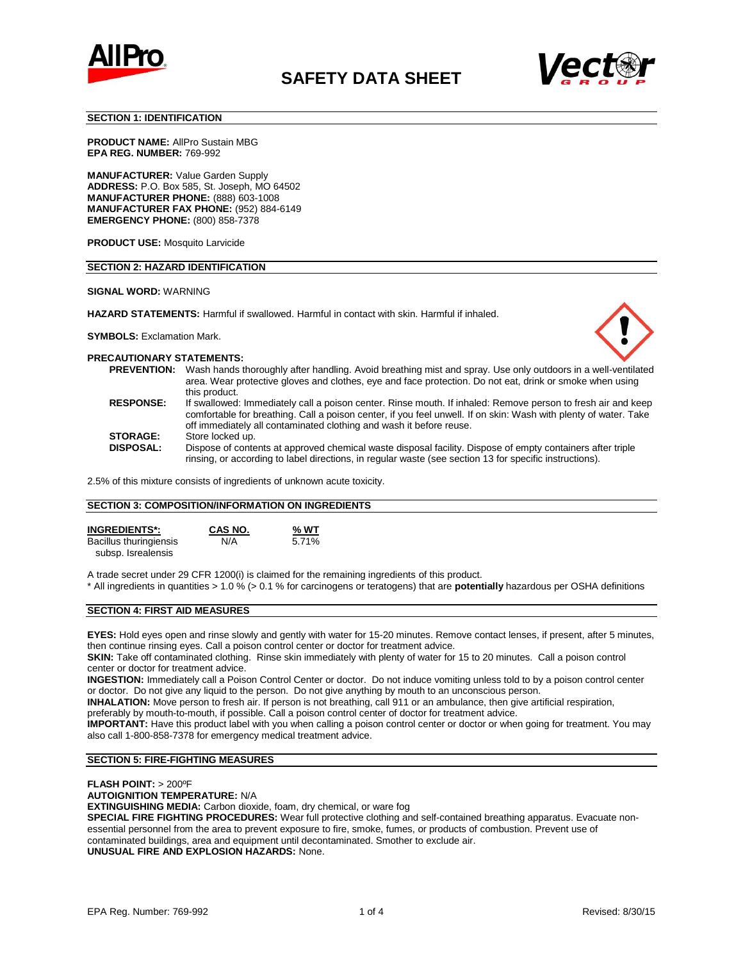



#### **SECTION 1: IDENTIFICATION**

**PRODUCT NAME:** AllPro Sustain MBG **EPA REG. NUMBER:** 769-992

**MANUFACTURER:** Value Garden Supply **ADDRESS:** P.O. Box 585, St. Joseph, MO 64502 **MANUFACTURER PHONE:** (888) 603-1008 **MANUFACTURER FAX PHONE:** (952) 884-6149 **EMERGENCY PHONE:** (800) 858-7378

**PRODUCT USE:** Mosquito Larvicide

#### **SECTION 2: HAZARD IDENTIFICATION**

#### **SIGNAL WORD:** WARNING

**HAZARD STATEMENTS:** Harmful if swallowed. Harmful in contact with skin. Harmful if inhaled.



**SYMBOLS:** Exclamation Mark.

#### **PRECAUTIONARY STATEMENTS: PREVENTION:** Wash hands thoroughly after handling. Avoid breathing mist and spray. Use only outdoors in a well-ventilated

| <b>FREVENTIUN.</b> | <u>VVASITITIANOS INDIDUOJINY ANEI TIANOINING. AVOID DIEANNING MIISLAND SPIAY. OSE ONLY OULOODS IN A WEIN-VENINAIED</u><br>area. Wear protective gloves and clothes, eye and face protection. Do not eat, drink or smoke when using                                                                      |
|--------------------|---------------------------------------------------------------------------------------------------------------------------------------------------------------------------------------------------------------------------------------------------------------------------------------------------------|
|                    | this product.                                                                                                                                                                                                                                                                                           |
| <b>RESPONSE:</b>   | If swallowed: Immediately call a poison center. Rinse mouth. If inhaled: Remove person to fresh air and keep<br>comfortable for breathing. Call a poison center, if you feel unwell. If on skin: Wash with plenty of water. Take<br>off immediately all contaminated clothing and wash it before reuse. |
| <b>STORAGE:</b>    | Store locked up.                                                                                                                                                                                                                                                                                        |
| <b>DISPOSAL:</b>   | Dispose of contents at approved chemical waste disposal facility. Dispose of empty containers after triple<br>rinsing, or according to label directions, in regular waste (see section 13 for specific instructions).                                                                                   |

2.5% of this mixture consists of ingredients of unknown acute toxicity.

#### **SECTION 3: COMPOSITION/INFORMATION ON INGREDIENTS**

| <b>INGREDIENTS*:</b>   | CAS NO. | % WT  |
|------------------------|---------|-------|
| Bacillus thuringiensis | N/A     | 5.71% |
| subsp. Isrealensis     |         |       |

A trade secret under 29 CFR 1200(i) is claimed for the remaining ingredients of this product.

\* All ingredients in quantities > 1.0 % (> 0.1 % for carcinogens or teratogens) that are **potentially** hazardous per OSHA definitions

## **SECTION 4: FIRST AID MEASURES**

**EYES:** Hold eyes open and rinse slowly and gently with water for 15-20 minutes. Remove contact lenses, if present, after 5 minutes, then continue rinsing eyes. Call a poison control center or doctor for treatment advice.

**SKIN:** Take off contaminated clothing. Rinse skin immediately with plenty of water for 15 to 20 minutes. Call a poison control center or doctor for treatment advice.

**INGESTION:** Immediately call a Poison Control Center or doctor. Do not induce vomiting unless told to by a poison control center or doctor. Do not give any liquid to the person. Do not give anything by mouth to an unconscious person.

**INHALATION:** Move person to fresh air. If person is not breathing, call 911 or an ambulance, then give artificial respiration,

preferably by mouth-to-mouth, if possible. Call a poison control center of doctor for treatment advice.

**IMPORTANT:** Have this product label with you when calling a poison control center or doctor or when going for treatment. You may also call 1-800-858-7378 for emergency medical treatment advice.

## **SECTION 5: FIRE-FIGHTING MEASURES**

**FLASH POINT:** > 200ºF

**AUTOIGNITION TEMPERATURE:** N/A

**EXTINGUISHING MEDIA:** Carbon dioxide, foam, dry chemical, or ware fog

**SPECIAL FIRE FIGHTING PROCEDURES:** Wear full protective clothing and self-contained breathing apparatus. Evacuate nonessential personnel from the area to prevent exposure to fire, smoke, fumes, or products of combustion. Prevent use of contaminated buildings, area and equipment until decontaminated. Smother to exclude air. **UNUSUAL FIRE AND EXPLOSION HAZARDS:** None.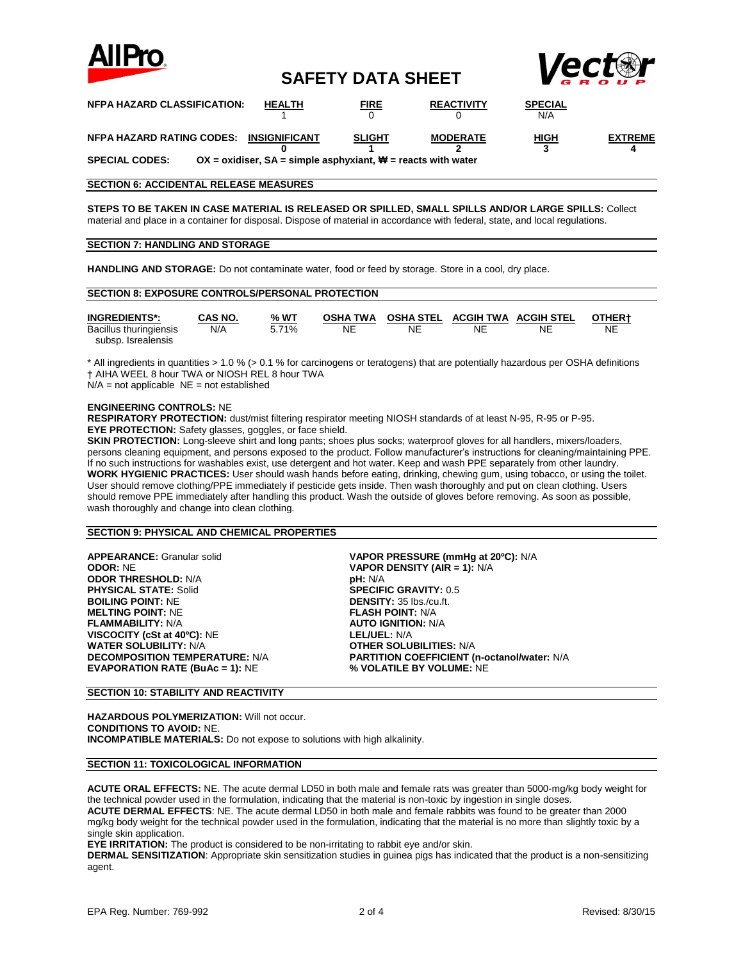

## **SAFETY DATA SHEET**



| <b>NFPA HAZARD CLASSIFICATION:</b>      | <b>HEALTH</b>                                                    | <b>FIRE</b>   | <b>REACTIVITY</b> | <b>SPECIAL</b><br>N/A |                |
|-----------------------------------------|------------------------------------------------------------------|---------------|-------------------|-----------------------|----------------|
| NFPA HAZARD RATING CODES: INSIGNIFICANT |                                                                  | <b>SLIGHT</b> | <b>MODERATE</b>   | <u>HIGH</u>           | <b>EXTREME</b> |
| <b>SPECIAL CODES:</b>                   | OX = oxidiser, $SA =$ simple asphyxiant, $H =$ reacts with water |               |                   |                       |                |

#### **SECTION 6: ACCIDENTAL RELEASE MEASURES**

**STEPS TO BE TAKEN IN CASE MATERIAL IS RELEASED OR SPILLED, SMALL SPILLS AND/OR LARGE SPILLS:** Collect material and place in a container for disposal. Dispose of material in accordance with federal, state, and local regulations.

### **SECTION 7: HANDLING AND STORAGE**

**HANDLING AND STORAGE:** Do not contaminate water, food or feed by storage. Store in a cool, dry place.

| <b>SECTION 8: EXPOSURE CONTROLS/PERSONAL PROTECTION</b> |                |        |                 |                  |                             |    |        |  |
|---------------------------------------------------------|----------------|--------|-----------------|------------------|-----------------------------|----|--------|--|
| <b>INGREDIENTS*:</b>                                    | <b>CAS NO.</b> | $%$ WT | <b>OSHA TWA</b> | <b>OSHA STEL</b> | <b>ACGIH TWA ACGIH STEL</b> |    | OTHER+ |  |
| Bacillus thuringiensis<br>subsp. Isrealensis            | N/A            | 5.71%  | ΝE              | NE               | NE                          | NE | NE     |  |

\* All ingredients in quantities > 1.0 % (> 0.1 % for carcinogens or teratogens) that are potentially hazardous per OSHA definitions † AIHA WEEL 8 hour TWA or NIOSH REL 8 hour TWA

 $N/A$  = not applicable  $NE$  = not established

### **ENGINEERING CONTROLS:** NE

**RESPIRATORY PROTECTION:** dust/mist filtering respirator meeting NIOSH standards of at least N-95, R-95 or P-95. **EYE PROTECTION:** Safety glasses, goggles, or face shield.

**SKIN PROTECTION:** Long-sleeve shirt and long pants; shoes plus socks; waterproof gloves for all handlers, mixers/loaders, persons cleaning equipment, and persons exposed to the product. Follow manufacturer's instructions for cleaning/maintaining PPE. If no such instructions for washables exist, use detergent and hot water. Keep and wash PPE separately from other laundry. **WORK HYGIENIC PRACTICES:** User should wash hands before eating, drinking, chewing gum, using tobacco, or using the toilet. User should remove clothing/PPE immediately if pesticide gets inside. Then wash thoroughly and put on clean clothing. Users should remove PPE immediately after handling this product. Wash the outside of gloves before removing. As soon as possible, wash thoroughly and change into clean clothing.

#### **SECTION 9: PHYSICAL AND CHEMICAL PROPERTIES**

**APPEARANCE:** Granular solid **VAPOR PRESSURE (mmHg at 20ºC):** N/A **ODOR THRESHOLD:** N/A **pH:** N/A **pH:** N/A **pH: N/A pH: N/A pH: N/A pHYSICAL STATE:** Solid **PHYSICAL STATE: Solid BOILING POINT:** NE **DENSITY:** 35 lbs./cu.ft.<br> **MELTING POINT:** NE **DENSITY: POINT:** N/A **MELTING POINT: NE FLAMMABILITY:** N/A **AUTO IGNITION:** N/A **VISCOCITY** (cSt at 40°C): NE **WATER SOLUBILITY:** N/A **OTHER SOLUBILITIES:** N/A **EVAPORATION RATE (BuAc = 1): NE** 

**VAPOR DENSITY (AIR = 1): N/A PARTITION COEFFICIENT (n-octanol/water: N/A % VOLATILE BY VOLUME: NE** 

#### **SECTION 10: STABILITY AND REACTIVITY**

**HAZARDOUS POLYMERIZATION:** Will not occur. **CONDITIONS TO AVOID:** NE. **INCOMPATIBLE MATERIALS:** Do not expose to solutions with high alkalinity.

#### **SECTION 11: TOXICOLOGICAL INFORMATION**

**ACUTE ORAL EFFECTS:** NE. The acute dermal LD50 in both male and female rats was greater than 5000-mg/kg body weight for the technical powder used in the formulation, indicating that the material is non-toxic by ingestion in single doses. **ACUTE DERMAL EFFECTS**: NE. The acute dermal LD50 in both male and female rabbits was found to be greater than 2000 mg/kg body weight for the technical powder used in the formulation, indicating that the material is no more than slightly toxic by a single skin application.

**EYE IRRITATION:** The product is considered to be non-irritating to rabbit eye and/or skin.

**DERMAL SENSITIZATION**: Appropriate skin sensitization studies in guinea pigs has indicated that the product is a non-sensitizing agent.